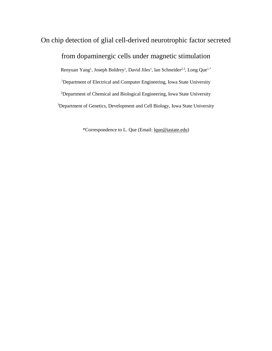# On chip detection of glial cell-derived neurotrophic factor secreted from dopaminergic cells under magnetic stimulation

Renyuan Yang<sup>1</sup>, Joseph Boldrey<sup>1</sup>, David Jiles<sup>1</sup>, Ian Schneider<sup>2,3</sup>, Long Que<sup>1,\*</sup> <sup>1</sup>Department of Electrical and Computer Engineering, Iowa State University <sup>2</sup>Department of Chemical and Biological Engineering, Iowa State University <sup>3</sup>Department of Genetics, Development and Cell Biology, Iowa State University

\*Correspondence to L. Que (Email: [lque@iastate.edu\)](about:blank)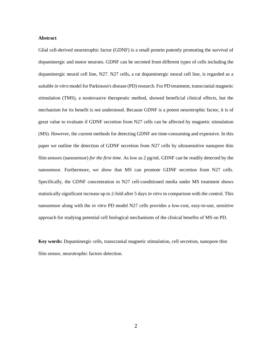## **Abstract**

Glial cell-derived neurotrophic factor (GDNF) is a small protein potently promoting the survival of dopaminergic and motor neurons. GDNF can be secreted from different types of cells including the dopaminergic neural cell line, N27. N27 cells, a rat dopaminergic neural cell line, is regarded as a suitable *in vitro* model for Parkinson's disease (PD) research. For PD treatment, transcranial magnetic stimulation (TMS), a noninvasive therapeutic method, showed beneficial clinical effects, but the mechanism for its benefit is not understood. Because GDNF is a potent neurotrophic factor, it is of great value to evaluate if GDNF secretion from N27 cells can be affected by magnetic stimulation (MS). However, the current methods for detecting GDNF are time-consuming and expensive. In this paper we outline the detection of GDNF secretion from N27 cells by ultrasensitive nanopore thin film sensors (nanosensor) *for the first time*. As low as 2 pg/mL GDNF can be readily detected by the nanosensor. Furthermore, we show that MS can promote GDNF secretion from N27 cells. Specifically, the GDNF concentration in N27 cell-conditioned media under MS treatment shows statistically significant increase up to 2-fold after 5 days *in vitro* in comparison with the control. This nanosensor along with the *in vitro* PD model N27 cells provides a low-cost, easy-to-use, sensitive approach for studying potential cell biological mechanisms of the clinical benefits of MS on PD.

**Key words:** Dopaminergic cells, transcranial magnetic stimulation, cell secretion, nanopore thin film sensor, neurotrophic factors detection.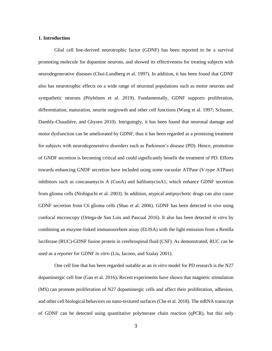## **1. Introduction**

Glial cell line-derived neurotrophic factor (GDNF) has been reported to be a survival promoting molecule for dopamine neurons, and showed its effectiveness for treating subjects with neurodegenerative diseases (Choi-Lundberg et al. 1997). In addition, it has been found that GDNF also has neurotrophic effects on a wide range of neuronal populations such as motor neurons and sympathetic neurons [\(Pöyhönen et al. 2019\)](#page-22-0). Fundamentally, GDNF supports proliferation, differentiation, maturation, neurite outgrowth and other cell functions [\(Wang et al. 1997;](#page-23-0) [Schuster,](#page-22-1)  [Dambly-Chaudière, and Ghysen 2010\)](#page-22-1). Intriguingly, it has been found that neuronal damage and motor dysfunction can be ameliorated by GDNF, thus it has been regarded as a promising treatment for subjects with neurodegenerative disorders such as Parkinson's disease (PD). Hence, promotion of GNDF secretion is becoming critical and could significantly benefit the treatment of PD. Efforts towards enhancing GNDF secretion have included using some vacuolar ATPase (V-type ATPase) inhibitors such as concanamycin A (ConA) and bafilomycinA1, which enhance GDNF secretion from glioma cells [\(Nishiguchi et al. 2003\)](#page-22-2). In addition, atypical antipsychotic drugs can also cause GDNF secretion from C6 glioma cells [\(Shao et al. 2006\)](#page-23-1). GDNF has been detected *in vivo* using confocal microscopy [\(Ortega-de San Luis and Pascual 2016\)](#page-22-3). It also has been detected *in vitro* by combining an enzyme-linked immunosorbent assay (ELISA) with the light emission from a Renilla luciferase (RUC)-GDNF fusion protein in cerebrospinal fluid (CSF). As demonstrated, RUC can be used as a reporter for GDNF *in vitro* [\(Liu, Iacono, and Szalay 2001\)](#page-22-4).

One cell line that has been regarded suitable as an *in vitro* model for PD research is the N27 dopaminergic cell line [\(Gao et al. 2016\)](#page-23-2)**.** Recent experiments have shown that magnetic stimulation (MS) can promote proliferation of N27 dopaminergic cells and affect their proliferation, adhesion, and other cell biological behaviors on nano-textured surfaces [\(Che et al. 2018\)](#page-22-4). The mRNA transcript of GDNF can be detected using quantitative polymerase chain reaction (qPCR), but this only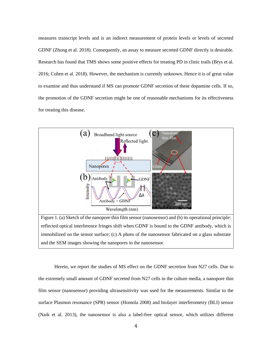measures transcript levels and is an indirect measurement of protein levels or levels of secreted GDNF [\(Zhong et al. 2018\)](#page-23-3). Consequently, an assay to measure secreted GDNF directly is desirable. Research has found that TMS shows some positive effects for treating PD in clinic trails [\(Brys et al.](#page-21-0)  [2016;](#page-21-0) [Cohen et al. 2018\)](#page-23-4). However, the mechanism is currently unknown. Hence it is of great value to examine and thus understand if MS can promote GDNF secretion of these dopamine cells. If so, the promotion of the GDNF secretion might be one of reasonable mechanisms for its effectiveness for treating this disease.



Figure 1. (a) Sketch of the nanopore thin film sensor (nanosensor) and (b) its operational principle: reflected optical interference fringes shift when GDNF is bound to the GDNF antibody, which is immobilized on the sensor surface; (c) A photo of the nanosensor fabricated on a glass substrate and the SEM images showing the nanopores in the nanosensor.

Herein, we report the studies of MS effect on the GDNF secretion from N27 cells. Due to the extremely small amount of GDNF secreted from N27 cells in the culture media, a nanopore thin film sensor (nanosensor) providing ultrasensitivity was used for the measurements. Similar to the surface Plasmon resonance (SPR) sensor [\(Homola 2008\)](#page-22-5) and biolayer interferometry (BLI) sensor [\(Naik et al. 2013\)](#page-22-6), the nanosensor is also a label-free optical sensor, which utilizes different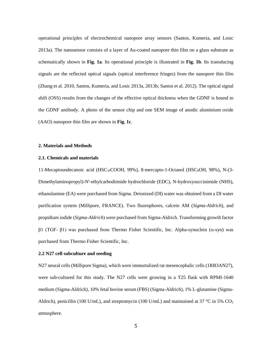operational principles of electrochemical nanopore array sensors [\(Santos, Kumeria, and Losic](#page-23-2)  [2013a\)](#page-23-2). The nanosensor consists of a layer of Au-coated nanopore thin film on a glass substrate as schematically shown in **Fig. 1a**. Its operational principle is illustrated in **Fig. 1b**. Its transducing signals are the reflected optical signals (optical interference fringes) from the nanopore thin film [\(Zhang et al. 2010,](#page-23-5) [Santos, Kumeria, and Losic 2013a,](#page-23-2) [2013b;](#page-23-6) [Santos et al. 2012\)](#page-23-4). The optical signal shift (OSS) results from the changes of the effective optical thickness when the GDNF is bound to the GDNF antibody. A photo of the sensor chip and one SEM image of anodic aluminium oxide (AAO) nanopore thin film are shown in **Fig. 1c**.

## **2. Materials and Methods**

## **2.1. Chemicals and materials**

11-Mecaptoundecanoic acid (HSC $_{10}$ COOH, 99%), 8-mercapto-1-Octanol (HSC $_{8}$ OH, 98%), N-(3-Dimethylaminopropyl)-N'-ethylcarbodiimide hydrochloride (EDC), N-hydroxysuccinimide (NHS), ethanolamine (EA) were purchased from Sigma. Deionized (DI) water was obtained from a DI water purification system (Millipore, FRANCE). Two fluorophores, calcein AM (*Sigma-Aldrich*), and propidium iodide (*Sigma-Aldrich*) were purchased from Sigma-Aldrich. Transforming growth factor  $β1$  (TGF-  $β1$ ) was purchased from Thermo Fisher Scientific, Inc. Alpha-synuclein (α-syn) was purchased from Thermo Fisher Scientific, Inc.

## **2.2 N27 cell subculture and seeding**

N27 neural cells (Millipore Sigma), which were immortalized rat mesencephalic cells (1RB3AN27), were sub-cultured for this study. The N27 cells were growing in a T25 flask with RPMI-1640 medium (Sigma-Aldrich), 10% fetal bovine serum (FBS) (Sigma-Aldrich), 1% L-glutamine (Sigma-Aldrich), penicillin (100 U/mL), and streptomycin (100 U/mL) and maintained at 37 °C in 5%  $CO<sub>2</sub>$ atmosphere.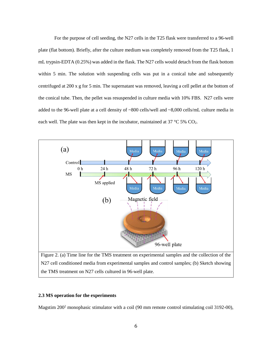For the purpose of cell seeding, the N27 cells in the T25 flask were transferred to a 96-well plate (flat bottom). Briefly, after the culture medium was completely removed from the T25 flask, 1 mL trypsin-EDTA (0.25%) was added in the flask. The N27 cells would detach from the flask bottom within 5 min. The solution with suspending cells was put in a conical tube and subsequently centrifuged at 200 x g for 5 min. The supernatant was removed, leaving a cell pellet at the bottom of the conical tube. Then, the pellet was resuspended in culture media with 10% FBS. N27 cells were added to the 96-well plate at a cell density of ~800 cells/well and ~8,000 cells/mL culture media in each well. The plate was then kept in the incubator, maintained at  $37 \text{ °C} 5\%$  CO<sub>2</sub>.



N27 cell conditioned media from experimental samples and control samples; (b) Sketch showing the TMS treatment on N27 cells cultured in 96-well plate.

# **2.3 MS operation for the experiments**

Magstim 200<sup>2</sup> monophasic stimulator with a coil (90 mm remote control stimulating coil 3192-00),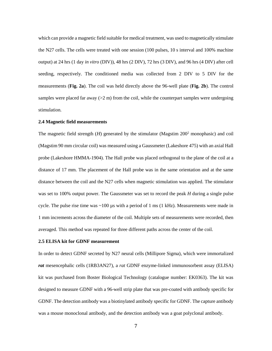which can provide a magnetic field suitable for medical treatment, was used to magnetically stimulate the N27 cells. The cells were treated with one session (100 pulses, 10 s interval and 100% machine output) at 24 hrs (1 day *in vitro* (DIV)), 48 hrs (2 DIV), 72 hrs (3 DIV), and 96 hrs (4 DIV) after cell seeding, respectively. The conditioned media was collected from 2 DIV to 5 DIV for the measurements (**Fig. 2a**). The coil was held directly above the 96-well plate (**Fig. 2b**). The control samples were placed far away  $(>2 \text{ m})$  from the coil, while the counterpart samples were undergoing stimulation.

## **2.4 Magnetic field measurements**

The magnetic field strength (*H*) generated by the stimulator (Magstim 200<sup>2</sup> monophasic) and coil (Magstim 90 mm circular coil) was measured using a Gaussmeter (Lakeshore 475) with an axial Hall probe (Lakeshore HMMA-1904). The Hall probe was placed orthogonal to the plane of the coil at a distance of 17 mm. The placement of the Hall probe was in the same orientation and at the same distance between the coil and the N27 cells when magnetic stimulation was applied. The stimulator was set to 100% output power. The Gaussmeter was set to record the peak *H* during a single pulse cycle. The pulse rise time was  $\sim$ 100 µs with a period of 1 ms (1 kHz). Measurements were made in 1 mm increments across the diameter of the coil. Multiple sets of measurements were recorded, then averaged. This method was repeated for three different paths across the center of the coil.

## **2.5 ELISA kit for GDNF measurement**

In order to detect GDNF secreted by N27 neural cells (Millipore Sigma), which were immortalized *rat* mesencephalic cells (1RB3AN27), a *rat* GDNF enzyme-linked immunosorbent assay (ELISA) kit was purchased from Boster Biological Technology (catalogue number: EK0363). The kit was designed to measure GDNF with a 96-well strip plate that was pre-coated with antibody specific for GDNF. The detection antibody was a biotinylated antibody specific for GDNF. The capture antibody was a mouse monoclonal antibody, and the detection antibody was a goat polyclonal antibody.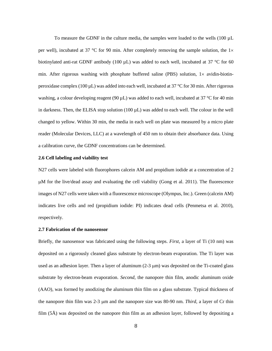To measure the GDNF in the culture media, the samples were loaded to the wells  $(100 \mu L)$ per well), incubated at 37 °C for 90 min. After completely removing the sample solution, the  $1\times$ biotinylated anti-rat GDNF antibody (100  $\mu$ L) was added to each well, incubated at 37 °C for 60 min. After rigorous washing with phosphate buffered saline (PBS) solution,  $1 \times$  avidin-biotinperoxidase complex (100 µL) was added into each well, incubated at 37 °C for 30 min. After rigorous washing, a colour developing reagent (90  $\mu$ L) was added to each well, incubated at 37 °C for 40 min in darkness. Then, the ELISA stop solution  $(100 \mu L)$  was added to each well. The colour in the well changed to yellow. Within 30 min, the media in each well on plate was measured by a micro plate reader (Molecular Devices, LLC) at a wavelength of 450 nm to obtain their absorbance data. Using a calibration curve, the GDNF concentrations can be determined.

#### **2.6 Cell labeling and viability test**

N27 cells were labeled with fluorophores calcein AM and propidium iodide at a concentration of 2  $\mu$ M for the live/dead assay and evaluating the cell viability [\(Gong et al. 2011\)](#page-23-6). The fluorescence images of N27 cells were taken with a fluorescence microscope (Olympus, Inc.). Green (calcein AM) indicates live cells and red (propidium iodide: PI) indicates dead cells [\(Penmetsa et al. 2010\)](#page-22-7), respectively.

# **2.7 Fabrication of the nanosensor**

Briefly, the nanosensor was fabricated using the following steps. *First*, a layer of Ti (10 nm) was deposited on a rigorously cleaned glass substrate by electron-beam evaporation. The Ti layer was used as an adhesion layer. Then a layer of aluminum  $(2-3 \mu m)$  was deposited on the Ti-coated glass substrate by electron-beam evaporation. *Second*, the nanopore thin film, anodic aluminum oxide (AAO), was formed by anodizing the aluminum thin film on a glass substrate. Typical thickness of the nanopore thin film was 2-3  $\mu$ m and the nanopore size was 80-90 nm. *Third*, a layer of Cr thin film (5Å) was deposited on the nanopore thin film as an adhesion layer, followed by depositing a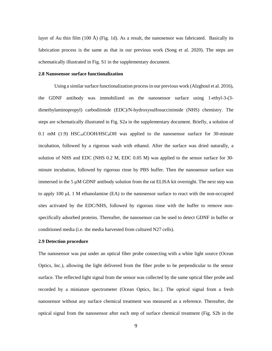layer of Au thin film (100 Å) (Fig. 1d). As a result, the nanosensor was fabricated. Basically its fabrication process is the same as that in our previous work [\(Song et al. 2020\)](#page-23-7). The steps are schematically illustrated in Fig. S1 in the supplementary document.

#### **2.8 Nanosensor surface functionalization**

Using a similar surface functionalization process in our previous work [\(Alzghoul et al. 2016\)](#page-21-1), the GDNF antibody was immobilized on the nanosensor surface using 1-ethyl-3-(3 dimethylaminopropyl) carbodiimide (EDC)/N-hydroxysulfosuccinimide (NHS) chemistry. The steps are schematically illustrated in Fig. S2a in the supplementary document. Briefly, a solution of 0.1 mM (1:9)  $HSC_{10}COOH/HSC_8OH$  was applied to the nanosensor surface for 30-minute incubation, followed by a rigorous wash with ethanol. After the surface was dried naturally, a solution of NHS and EDC (NHS 0.2 M, EDC 0.05 M) was applied to the sensor surface for 30 minute incubation, followed by rigorous rinse by PBS buffer. Then the nanosensor surface was immersed in the 5 µM GDNF antibody solution from the rat ELISA kit overnight. The next step was to apply 100 μL 1 M ethanolamine (EA) to the nanosensor surface to react with the non-occupied sites activated by the EDC/NHS, followed by rigorous rinse with the buffer to remove nonspecifically adsorbed proteins. Thereafter, the nanosensor can be used to detect GDNF in buffer or conditioned media (i.e. the media harvested from cultured N27 cells).

## **2.9 Detection procedure**

The nanosensor was put under an optical fiber probe connecting with a white light source (Ocean Optics, Inc.), allowing the light delivered from the fiber probe to be perpendicular to the sensor surface. The reflected light signal from the sensor was collected by the same optical fiber probe and recorded by a miniature spectrometer (Ocean Optics, Inc.). The optical signal from a fresh nanosensor without any surface chemical treatment was measured as a reference. Thereafter, the optical signal from the nanosensor after each step of surface chemical treatment (Fig. S2b in the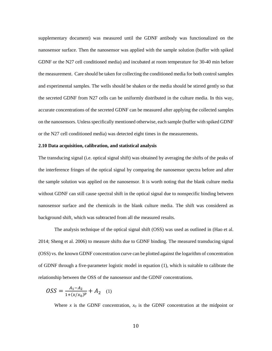supplementary document) was measured until the GDNF antibody was functionalized on the nanosensor surface. Then the nanosensor was applied with the sample solution (buffer with spiked GDNF or the N27 cell conditioned media) and incubated at room temperature for 30-40 min before the measurement. Care should be taken for collecting the conditioned media for both control samples and experimental samples. The wells should be shaken or the media should be stirred gently so that the secreted GDNF from N27 cells can be uniformly distributed in the culture media. In this way, accurate concentrations of the secreted GDNF can be measured after applying the collected samples on the nanosensors. Unless specifically mentioned otherwise, each sample (buffer with spiked GDNF or the N27 cell conditioned media) was detected eight times in the measurements.

#### **2.10 Data acquisition, calibration, and statistical analysis**

The transducing signal (i.e. optical signal shift) was obtained by averaging the shifts of the peaks of the interference fringes of the optical signal by comparing the nanosensor spectra before and after the sample solution was applied on the nanosensor. It is worth noting that the blank culture media without GDNF can still cause spectral shift in the optical signal due to nonspecific binding between nanosensor surface and the chemicals in the blank culture media. The shift was considered as background shift, which was subtracted from all the measured results.

The analysis technique of the optical signal shift (OSS) was used as outlined in [\(Hao et al.](#page-22-8)  [2014;](#page-22-8) [Sheng et al. 2006\)](#page-23-8) to measure shifts due to GDNF binding. The measured transducing signal (OSS) vs. the known GDNF concentration curve can be plotted against the logarithm of concentration of GDNF through a five-parameter logistic model in equation (1), which is suitable to calibrate the relationship between the OSS of the nanosensor and the GDNF concentrations.

$$
OSS = \frac{A_1 - A_2}{1 + (x/x_0)^p} + A_2 \quad (1)
$$

Where *x* is the GDNF concentration,  $x_0$  is the GDNF concentration at the midpoint or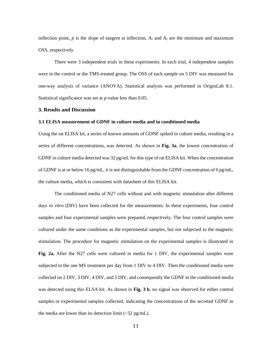inflection point,  $p$  is the slope of tangent at inflection,  $A_I$  and  $A_2$  are the minimum and maximum OSS, respectively.

There were 3 independent trials in these experiments. In each trial, 4 independent samples were in the control or the TMS-treated group. The OSS of each sample on 5 DIV was measured for one-way analysis of variance (ANOVA). Statistical analysis was performed in OriginLab 8.1. Statistical significance was set at *p*-value less than 0.05.

## **3. Results and Discussion**

## **3.1 ELISA measurement of GDNF in culture media and in conditioned media**

Using the rat ELISA kit, a series of known amounts of GDNF spiked in culture media, resulting in a series of different concentrations, was detected. As shown in **Fig. 3a**, the lowest concentration of GDNF in culture media detected was 32 pg/mL for this type of rat ELISA kit. When the concentration of GDNF is at or below 16 pg/mL, it is not distinguishable from the GDNF concentration of  $0$  pg/mL, the culture media, which is consistent with datasheet of this ELISA kit.

The conditioned media of N27 cells without and with magnetic stimulation after different days *in vitro* (DIV) have been collected for the measurements. In these experiments, four control samples and four experimental samples were prepared, respectively. The four control samples were cultured under the same conditions as the experimental samples, but not subjected to the magnetic stimulation. The procedure for magnetic stimulation on the experimental samples is illustrated in **Fig. 2a.** After the N27 cells were cultured in media for 1 DIV, the experimental samples were subjected to the one MS treatment per day from 1 DIV to 4 DIV. Then the conditioned media were collected on 2 DIV, 3 DIV, 4 DIV, and 5 DIV, and consequently the GDNF in the conditioned media was detected using this ELSA kit. As shown in **Fig. 3 b**, no signal was observed for either control samples or experimental samples collected, indicating the concentrations of the secreted GDNF in the media are lower than its detection limit  $(\sim 32 \text{ pg/mL})$ .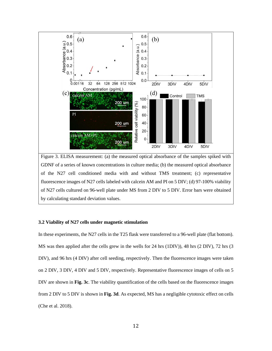

GDNF of a series of known concentrations in culture media; (b) the measured optical absorbance of the N27 cell conditioned media with and without TMS treatment; (c) representative fluorescence images of N27 cells labeled with calcein AM and PI on 5 DIV; (d) 97-100% viability of N27 cells cultured on 96-well plate under MS from 2 DIV to 5 DIV. Error bars were obtained by calculating standard deviation values.

# **3.2 Viability of N27 cells under magnetic stimulation**

In these experiments, the N27 cells in the T25 flask were transferred to a 96-well plate (flat bottom). MS was then applied after the cells grew in the wells for 24 hrs (1DIV)), 48 hrs (2 DIV), 72 hrs (3 DIV), and 96 hrs (4 DIV) after cell seeding, respectively. Then the fluorescence images were taken on 2 DIV, 3 DIV, 4 DIV and 5 DIV, respectively. Representative fluorescence images of cells on 5 DIV are shown in **Fig. 3c**. The viability quantification of the cells based on the fluorescence images from 2 DIV to 5 DIV is shown in **Fig. 3d**. As expected, MS has a negligible cytotoxic effect on cells [\(Che et al. 2018\)](#page-22-4).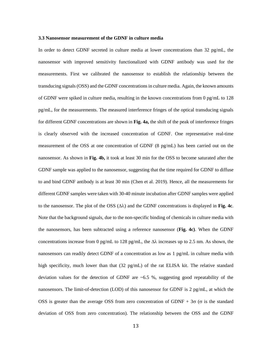#### **3.3 Nanosensor measurement of the GDNF in culture media**

In order to detect GDNF secreted in culture media at lower concentrations than 32 pg/mL, the nanosensor with improved sensitivity functionalized with GDNF antibody was used for the measurements. First we calibrated the nanosensor to establish the relationship between the transducing signals (OSS) and the GDNF concentrations in culture media. Again, the known amounts of GDNF were spiked in culture media, resulting in the known concentrations from 0 pg/mL to 128 pg/mL, for the measurements. The measured interference fringes of the optical transducing signals for different GDNF concentrations are shown in **Fig. 4a,** the shift of the peak of interference fringes is clearly observed with the increased concentration of GDNF. One representative real-time measurement of the OSS at one concentration of GDNF (8 pg/mL) has been carried out on the nanosensor. As shown in **Fig. 4b,** it took at least 30 min for the OSS to become saturated after the GDNF sample was applied to the nanosensor, suggesting that the time required for GDNF to diffuse to and bind GDNF antibody is at least 30 min (Chen et al. 2019). Hence, all the measurements for different GDNF samples were taken with 30-40 minute incubation after GDNF samples were applied to the nanosensor. The plot of the OSS  $(\Delta \lambda)$  and the GDNF concentrations is displayed in Fig. 4c. Note that the background signals, due to the non-specific binding of chemicals in culture media with the nanosensors, has been subtracted using a reference nanosensor (**Fig. 4c)**. When the GDNF concentrations increase from 0 pg/mL to 128 pg/mL, the  $\Delta\lambda$  increases up to 2.5 nm. As shown, the nanosensors can readily detect GDNF of a concentration as low as 1 pg/mL in culture media with high specificity, much lower than that (32 pg/mL) of the rat ELISA kit. The relative standard deviation values for the detection of GDNF are  $\sim 6.5$  %, suggesting good repeatability of the nanosensors. The limit-of-detection (LOD) of this nanosensor for GDNF is 2 pg/mL, at which the OSS is greater than the average OSS from zero concentration of GDNF +  $3\sigma$  ( $\sigma$  is the standard deviation of OSS from zero concentration). The relationship between the OSS and the GDNF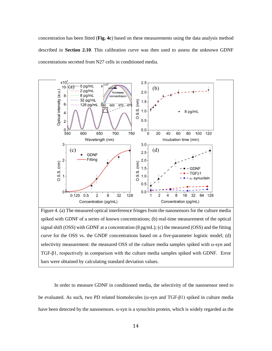concentration has been fitted (**Fig. 4c**) based on these measurements using the data analysis method described in **Section 2.10**. This calibration curve was then used to assess the unknown GDNF concentrations secreted from N27 cells in conditioned media.



Figure 4. (a) The measured optical interference fringes from the nanosensors for the culture media spiked with GDNF of a series of known concentrations; (b) real-time measurement of the optical signal shift (OSS) with GDNF at a concentration  $(8 \text{ pg/mL})$ ; (c) the measured (OSS) and the fitting curve for the OSS vs. the GNDF concentrations based on a five-parameter logistic model; (d) selectivity measurement: the measured OSS of the culture media samples spiked with  $\alpha$ -syn and TGF-β1, respectively in comparison with the culture media samples spiked with GDNF. Error bars were obtained by calculating standard deviation values.

In order to measure GDNF in conditioned media, the selectivity of the nanosensor need to be evaluated. As such, two PD related biomolecules ( $\alpha$ -syn and TGF- $\beta$ 1) spiked in culture media have been detected by the nanosensors.  $\alpha$ -syn is a synuclein protein, which is widely regarded as the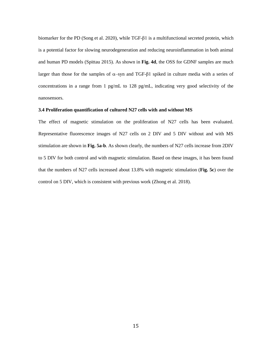biomarker for the PD [\(Song et al. 2020\)](#page-23-7), while TGF-β1 is a multifunctional secreted protein, which is a potential factor for slowing neurodegeneration and reducing neuroinflammation in both animal and human PD models [\(Spittau 2015\)](#page-23-9). As shown in **Fig. 4d**, the OSS for GDNF samples are much larger than those for the samples of  $\alpha$ -syn and TGF-β1 spiked in culture media with a series of concentrations in a range from 1 pg/mL to 128 pg/mL, indicating very good selectivity of the nanosensors.

## **3.4 Proliferation quantification of cultured N27 cells with and without MS**

The effect of magnetic stimulation on the proliferation of N27 cells has been evaluated. Representative fluorescence images of N27 cells on 2 DIV and 5 DIV without and with MS stimulation are shown in **Fig. 5a**-**b**. As shown clearly, the numbers of N27 cells increase from 2DIV to 5 DIV for both control and with magnetic stimulation. Based on these images, it has been found that the numbers of N27 cells increased about 13.8% with magnetic stimulation (**Fig. 5c**) over the control on 5 DIV, which is consistent with previous work [\(Zhong et al. 2018\)](#page-23-3).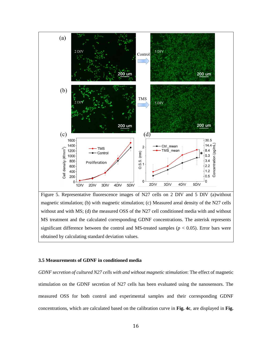

Figure 5. Representative fluorescence images of N27 cells on 2 DIV and 5 DIV (a)without magnetic stimulation; (b) with magnetic stimulation; (c) Measured areal density of the N27 cells without and with MS; (d) the measured OSS of the N27 cell conditioned media with and without MS treatment and the calculated corresponding GDNF concentrations. The asterisk represents significant difference between the control and MS-treated samples ( $p < 0.05$ ). Error bars were obtained by calculating standard deviation values.

## **3.5 Measurements of GDNF in conditioned media**

*GDNF secretion of cultured N27 cells with and without magnetic stimulation*: The effect of magnetic stimulation on the GDNF secretion of N27 cells has been evaluated using the nanosensors. The measured OSS for both control and experimental samples and their corresponding GDNF concentrations, which are calculated based on the calibration curve in **Fig. 4c**, are displayed in **Fig.**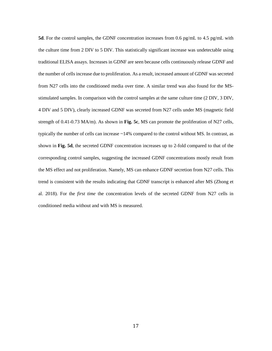**5d**. For the control samples, the GDNF concentration increases from 0.6 pg/mL to 4.5 pg/mL with the culture time from 2 DIV to 5 DIV. This statistically significant increase was undetectable using traditional ELISA assays. Increases in GDNF are seen because cells continuously release GDNF and the number of cells increase due to proliferation. As a result, increased amount of GDNF was secreted from N27 cells into the conditioned media over time. A similar trend was also found for the MSstimulated samples. In comparison with the control samples at the same culture time (2 DIV, 3 DIV, 4 DIV and 5 DIV), clearly increased GDNF was secreted from N27 cells under MS (magnetic field strength of 0.41-0.73 MA/m). As shown in **Fig. 5c**, MS can promote the proliferation of N27 cells, typically the number of cells can increase ~14% compared to the control without MS. In contrast, as shown in **Fig. 5d**, the secreted GDNF concentration increases up to 2-fold compared to that of the corresponding control samples, suggesting the increased GDNF concentrations mostly result from the MS effect and not proliferation. Namely, MS can enhance GDNF secretion from N27 cells. This trend is consistent with the results indicating that GDNF transcript is enhanced after MS (Zhong et al. 2018). For the *first time* the concentration levels of the secreted GDNF from N27 cells in conditioned media without and with MS is measured.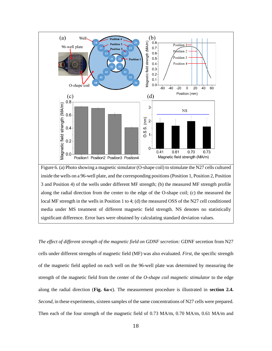

significant difference. Error bars were obtained by calculating standard deviation values.

*The effect of different strength of the magnetic field on GDNF secretion:* GDNF secretion from N27 cells under different strengths of magnetic field (MF) was also evaluated. *First*, the specific strength of the magnetic field applied on each well on the 96-well plate was determined by measuring the strength of the magnetic field from the center of the *O-shape coil magnetic stimulator* to the edge along the radial direction (**Fig. 6a-c**). The measurement procedure is illustrated in **section 2.4.** *Second*, in these experiments, sixteen samples of the same concentrations of N27 cells were prepared. Then each of the four strength of the magnetic field of 0.73 MA/m, 0.70 MA/m, 0.61 MA/m and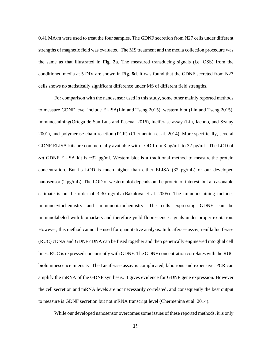0.41 MA/m were used to treat the four samples. The GDNF secretion from N27 cells under different strengths of magnetic field was evaluated. The MS treatment and the media collection procedure was the same as that illustrated in **Fig. 2a**. The measured transducing signals (i.e. OSS) from the conditioned media at 5 DIV are shown in **Fig. 6d**. It was found that the GDNF secreted from N27 cells shows no statistically significant difference under MS of different field strengths.

For comparison with the nanosensor used in this study, some other mainly reported methods to measure GDNF level include ELISA[\(Lin and Tseng 2015\)](#page-22-4), western blot [\(Lin and Tseng 2015\)](#page-22-4), immunostaining(Ortega-de San Luis and Pascual 2016), luciferase assay (Liu, Iacono, and Szalay 2001), and polymerase chain reaction (PCR) [\(Chermenina et al. 2014\)](#page-21-0). More specifically, several GDNF ELISA kits are commercially available with LOD from 3 pg/mL to 32 pg/mL. The LOD of *rat* GDNF ELISA kit is  $\sim$ 32 pg/ml. Western blot is a traditional method to measure the protein concentration. But its LOD is much higher than either ELISA (32 pg/mL) or our developed nanosensor (2 pg/mL). The LOD of western blot depends on the protein of interest, but a reasonable estimate is on the order of 3-30 ng/mL [\(Bakalova et al. 2005\)](#page-21-1). The immunostaining includes immunocytochemistry and immunohistochemistry. The cells expressing GDNF can be immunolabeled with biomarkers and therefore yield fluorescence signals under proper excitation. However, this method cannot be used for quantitative analysis. In luciferase assay, renilla luciferase (RUC) cDNA and GDNF cDNA can be fused together and then genetically engineered into glial cell lines. RUC is expressed concurrently with GDNF. The GDNF concentration correlates with the RUC bioluminescence intensity. The Luciferase assay is complicated, laborious and expensive. PCR can amplify the mRNA of the GDNF synthesis. It gives evidence for GDNF gene expression. However the cell secretion and mRNA levels are not necessarily correlated, and consequently the best output to measure is GDNF secretion but not mRNA transcript level [\(Chermenina et al. 2014\)](#page-21-0).

While our developed nanosensor overcomes some issues of these reported methods, it is only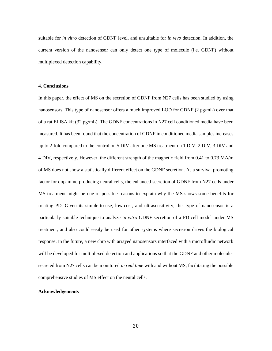suitable for *in vitro* detection of GDNF level, and unsuitable for *in vivo* detection. In addition, the current version of the nanosensor can only detect one type of molecule (i.e. GDNF) without multiplexed detection capability.

## **4. Conclusions**

In this paper, the effect of MS on the secretion of GDNF from N27 cells has been studied by using nanosensors. This type of nanosensor offers a much improved LOD for GDNF (2 pg/mL) over that of a rat ELISA kit (32 pg/mL). The GDNF concentrations in N27 cell conditioned media have been measured. It has been found that the concentration of GDNF in conditioned media samples increases up to 2-fold compared to the control on 5 DIV after one MS treatment on 1 DIV, 2 DIV, 3 DIV and 4 DIV, respectively. However, the different strength of the magnetic field from 0.41 to 0.73 MA/m of MS does not show a statistically different effect on the GDNF secretion. As a survival promoting factor for dopamine-producing neural cells, the enhanced secretion of GDNF from N27 cells under MS treatment might be one of possible reasons to explain why the MS shows some benefits for treating PD. Given its simple-to-use, low-cost, and ultrasensitivity, this type of nanosensor is a particularly suitable technique to analyze *in vitro* GDNF secretion of a PD cell model under MS treatment, and also could easily be used for other systems where secretion drives the biological response. In the future, a new chip with arrayed nanosensors interfaced with a microfluidic network will be developed for multiplexed detection and applications so that the GDNF and other molecules secreted from N27 cells can be monitored *in real time* with and without MS, facilitating the possible comprehensive studies of MS effect on the neural cells.

#### **Acknowledgements**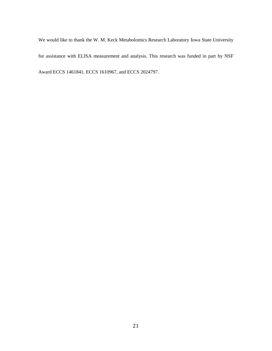We would like to thank the W. M. Keck Metabolomics Research Laboratory Iowa State University for assistance with ELISA measurement and analysis. This research was funded in part by NSF Award ECCS 1461841, ECCS 1610967, and ECCS 2024797.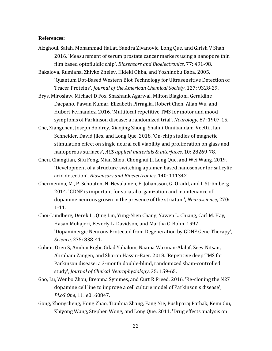# **References:**

Alzghoul, Salah, Mohammad Hailat, Sandra Zivanovic, Long Que, and Girish V Shah. 2016. 'Measurement of serum prostate cancer markers using a nanopore thin film based optofluidic chip', *Biosensors and Bioelectronics*, 77: 491-98.

<span id="page-21-1"></span>Bakalova, Rumiana, Zhivko Zhelev, Hideki Ohba, and Yoshinobu Baba. 2005. 'Quantum Dot-Based Western Blot Technology for Ultrasensitive Detection of Tracer Proteins', *Journal of the American Chemical Society*, 127: 9328-29.

- Brys, Miroslaw, Michael D Fox, Shashank Agarwal, Milton Biagioni, Geraldine Dacpano, Pawan Kumar, Elizabeth Pirraglia, Robert Chen, Allan Wu, and Hubert Fernandez. 2016. 'Multifocal repetitive TMS for motor and mood symptoms of Parkinson disease: a randomized trial', *Neurology*, 87: 1907-15.
- Che, Xiangchen, Joseph Boldrey, Xiaojing Zhong, Shalini Unnikandam-Veettil, Ian Schneider, David Jiles, and Long Que. 2018. 'On-chip studies of magnetic stimulation effect on single neural cell viability and proliferation on glass and nanoporous surfaces', *ACS applied materials & interfaces*, 10: 28269-78.
- Chen, Changtian, Silu Feng, Mian Zhou, Chonghui Ji, Long Que, and Wei Wang. 2019. 'Development of a structure-switching aptamer-based nanosensor for salicylic acid detection', *Biosensors and Bioelectronics*, 140: 111342.
- <span id="page-21-0"></span>Chermenina, M., P. Schouten, N. Nevalainen, F. Johansson, G. Orädd, and I. Strömberg. 2014. 'GDNF is important for striatal organization and maintenance of dopamine neurons grown in the presence of the striatum', *Neuroscience*, 270: 1-11.
- Choi-Lundberg, Derek L., Qing Lin, Yung-Nien Chang, Yawen L. Chiang, Carl M. Hay, Hasan Mohajeri, Beverly L. Davidson, and Martha C. Bohn. 1997. 'Dopaminergic Neurons Protected from Degeneration by GDNF Gene Therapy', *Science*, 275: 838-41.
- Cohen, Oren S, Amihai Rigbi, Gilad Yahalom, Naama Warman-Alaluf, Zeev Nitsan, Abraham Zangen, and Sharon Hassin-Baer. 2018. 'Repetitive deep TMS for Parkinson disease: a 3-month double-blind, randomized sham-controlled study', *Journal of Clinical Neurophysiology*, 35: 159-65.
- Gao, Lu, Wenbo Zhou, Breanna Symmes, and Curt R Freed. 2016. 'Re-cloning the N27 dopamine cell line to improve a cell culture model of Parkinson's disease', *PLoS One*, 11: e0160847.
- Gong, Zhongcheng, Hong Zhao, Tianhua Zhang, Fang Nie, Pushparaj Pathak, Kemi Cui, Zhiyong Wang, Stephen Wong, and Long Que. 2011. 'Drug effects analysis on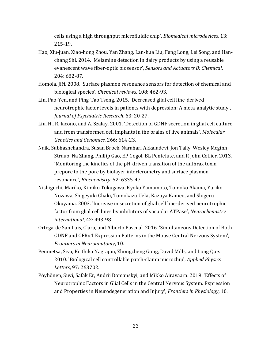cells using a high throughput microfluidic chip', *Biomedical microdevices*, 13: 215-19.

- <span id="page-22-8"></span>Hao, Xiu-juan, Xiao-hong Zhou, Yan Zhang, Lan-hua Liu, Feng Long, Lei Song, and Hanchang Shi. 2014. 'Melamine detection in dairy products by using a reusable evanescent wave fiber-optic biosensor', *Sensors and Actuators B: Chemical*, 204: 682-87.
- <span id="page-22-5"></span>Homola, Jiří. 2008. 'Surface plasmon resonance sensors for detection of chemical and biological species', *Chemical reviews*, 108: 462-93.
- <span id="page-22-4"></span>Lin, Pao-Yen, and Ping-Tao Tseng. 2015. 'Decreased glial cell line-derived neurotrophic factor levels in patients with depression: A meta-analytic study', *Journal of Psychiatric Research*, 63: 20-27.
- Liu, H., R. Iacono, and A. Szalay. 2001. 'Detection of GDNF secretion in glial cell culture and from transformed cell implants in the brains of live animals', *Molecular Genetics and Genomics*, 266: 614-23.
- <span id="page-22-6"></span>Naik, Subhashchandra, Susan Brock, Narahari Akkaladevi, Jon Tally, Wesley Mcginn-Straub, Na Zhang, Phillip Gao, EP Gogol, BL Pentelute, and R John Collier. 2013. 'Monitoring the kinetics of the pH-driven transition of the anthrax toxin prepore to the pore by biolayer interferometry and surface plasmon resonance', *Biochemistry*, 52: 6335-47.
- <span id="page-22-2"></span>Nishiguchi, Mariko, Kimiko Tokugawa, Kyoko Yamamoto, Tomoko Akama, Yuriko Nozawa, Shigeyuki Chaki, Tomokazu Ueki, Kazuya Kameo, and Shigeru Okuyama. 2003. 'Increase in secretion of glial cell line-derived neurotrophic factor from glial cell lines by inhibitors of vacuolar ATPase', *Neurochemistry international*, 42: 493-98.
- <span id="page-22-3"></span>Ortega-de San Luis, Clara, and Alberto Pascual. 2016. 'Simultaneous Detection of Both GDNF and GFRα1 Expression Patterns in the Mouse Central Nervous System', *Frontiers in Neuroanatomy*, 10.
- <span id="page-22-7"></span>Penmetsa, Siva, Krithika Nagrajan, Zhongcheng Gong, David Mills, and Long Que. 2010. 'Biological cell controllable patch-clamp microchip', *Applied Physics Letters*, 97: 263702.
- <span id="page-22-1"></span><span id="page-22-0"></span>Pöyhönen, Suvi, Safak Er, Andrii Domanskyi, and Mikko Airavaara. 2019. 'Effects of Neurotrophic Factors in Glial Cells in the Central Nervous System: Expression and Properties in Neurodegeneration and Injury', *Frontiers in Physiology*, 10.